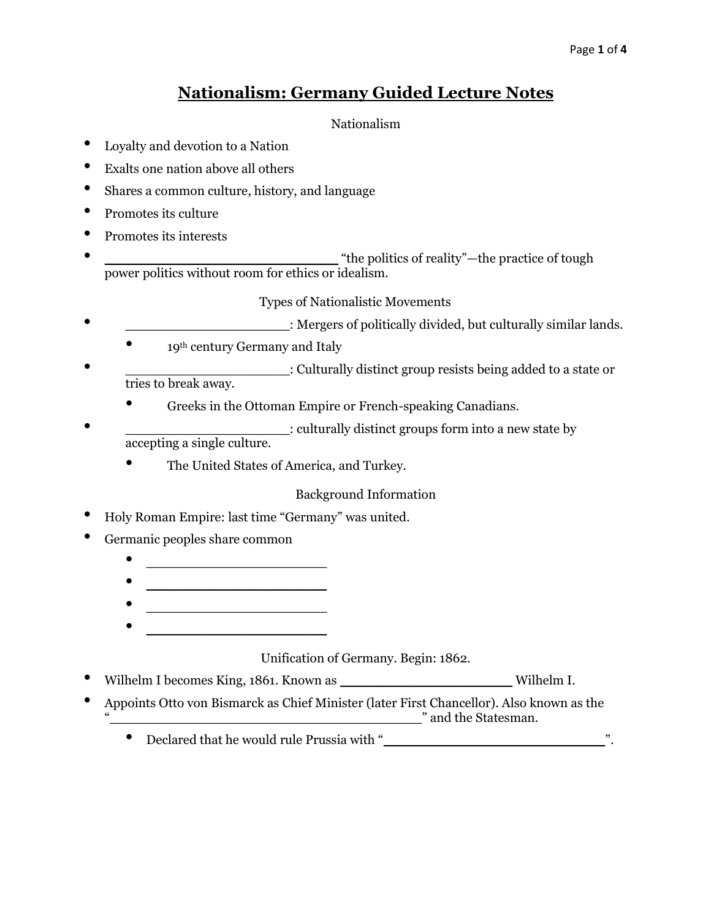# **Nationalism: Germany Guided Lecture Notes**

### Nationalism

- Loyalty and devotion to a Nation
- Exalts one nation above all others
- Shares a common culture, history, and language
- Promotes its culture
- Promotes its interests
- **• the politics of reality** "—the practice of tough power politics without room for ethics or idealism.

## Types of Nationalistic Movements

- Hergers of politically divided, but culturally similar lands.
	- 19<sup>th</sup> century Germany and Italy
	- Culturally distinct group resists being added to a state or tries to break away.
		- Greeks in the Ottoman Empire or French-speaking Canadians.
- $\bullet$  : culturally distinct groups form into a new state by accepting a single culture.
	- The United States of America, and Turkey.

## Background Information

- Holy Roman Empire: last time "Germany" was united.
- Germanic peoples share common
	- $\bullet$   $\qquad \qquad$
	-
	- $\mathcal{L}=\mathcal{L}=\mathcal{L}=\mathcal{L}=\mathcal{L}=\mathcal{L}=\mathcal{L}=\mathcal{L}=\mathcal{L}=\mathcal{L}=\mathcal{L}=\mathcal{L}=\mathcal{L}=\mathcal{L}=\mathcal{L}=\mathcal{L}=\mathcal{L}=\mathcal{L}=\mathcal{L}=\mathcal{L}=\mathcal{L}=\mathcal{L}=\mathcal{L}=\mathcal{L}=\mathcal{L}=\mathcal{L}=\mathcal{L}=\mathcal{L}=\mathcal{L}=\mathcal{L}=\mathcal{L}=\mathcal{L}=\mathcal{L}=\mathcal{L}=\mathcal{L}=\mathcal{L}=\mathcal{$
	-

Unification of Germany. Begin: 1862.

- Wilhelm I becomes King, 1861. Known as \_\_\_\_\_\_\_\_\_\_\_\_\_\_\_\_\_\_\_\_\_ Wilhelm I.
- Appoints Otto von Bismarck as Chief Minister (later First Chancellor). Also known as the  $\blacksquare$  and the Statesman.
	- Declared that he would rule Prussia with "\_\_\_\_\_\_\_\_\_\_\_\_\_\_\_\_\_\_\_\_\_\_\_\_\_\_\_".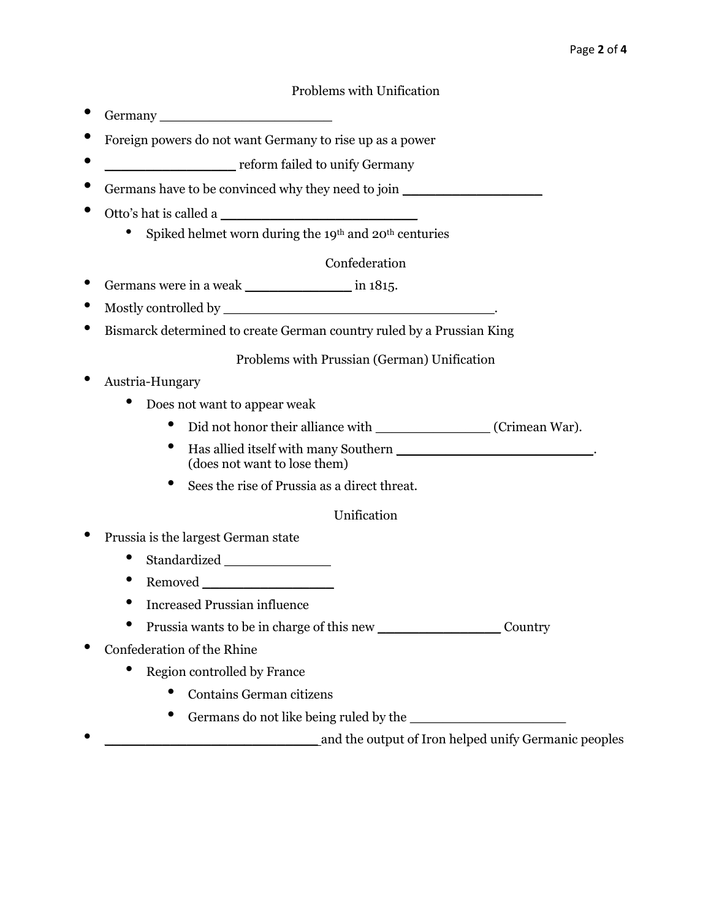#### Problems with Unification

- Germany \_\_\_\_\_\_\_\_\_\_\_\_\_\_\_\_\_\_\_\_\_
- Foreign powers do not want Germany to rise up as a power
- \_\_\_\_\_\_\_\_\_\_\_\_\_\_\_\_\_\_\_\_ reform failed to unify Germany
- Germans have to be convinced why they need to join
- Otto's hat is called a \_\_\_\_\_\_\_\_\_\_\_\_\_\_\_\_\_\_\_\_\_\_\_\_
	- Spiked helmet worn during the 19<sup>th</sup> and  $20<sup>th</sup>$  centuries

#### Confederation

- Germans were in a weak \_\_\_\_\_\_\_\_\_\_\_\_\_\_\_\_\_\_\_\_\_ in 1815.
- Mostly controlled by \_\_\_\_\_\_\_\_\_\_\_\_\_\_\_\_\_\_\_\_\_\_\_\_\_\_\_\_\_\_\_\_\_.
- Bismarck determined to create German country ruled by a Prussian King

#### Problems with Prussian (German) Unification

- Austria-Hungary
	- Does not want to appear weak
		- Did not honor their alliance with \_\_\_\_\_\_\_\_\_\_\_\_\_\_ (Crimean War).
		- Has allied itself with many Southern \_\_\_\_\_\_\_\_\_\_\_\_\_\_\_\_\_\_\_\_\_\_\_\_. (does not want to lose them)
		- Sees the rise of Prussia as a direct threat.

#### Unification

- Prussia is the largest German state
	- Standardized \_\_\_\_\_\_\_\_\_\_\_\_\_
	- Removed \_\_\_\_\_\_\_\_\_\_\_\_\_\_\_\_
	- Increased Prussian influence
	- Prussia wants to be in charge of this new Country
- Confederation of the Rhine
	- Region controlled by France
		- Contains German citizens
		- Germans do not like being ruled by the
- \_\_\_\_\_\_\_\_\_\_\_\_\_\_\_\_\_\_\_\_\_\_\_\_\_\_ and the output of Iron helped unify Germanic peoples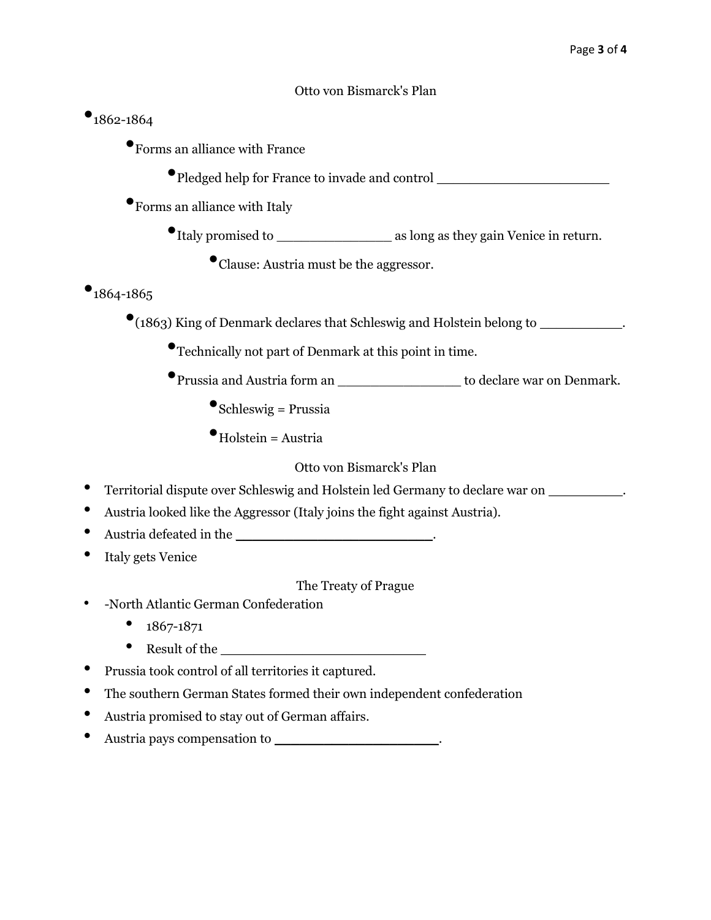#### Otto von Bismarck's Plan

# $•$ 1862-1864

- •Forms an alliance with France
	- •Pledged help for France to invade and control \_\_\_\_\_\_\_\_\_\_\_\_\_\_\_\_\_\_\_\_\_
- •Forms an alliance with Italy
	- •Italy promised to \_\_\_\_\_\_\_\_\_\_\_\_\_\_ as long as they gain Venice in return.
		- •Clause: Austria must be the aggressor.

# $•$ 1864-1865

- •(1863) King of Denmark declares that Schleswig and Holstein belong to \_\_\_\_\_\_\_\_\_\_.
	- •Technically not part of Denmark at this point in time.
	- •Prussia and Austria form an \_\_\_\_\_\_\_\_\_\_\_\_\_\_\_ to declare war on Denmark.
		- $\bullet$ Schleswig = Prussia
		- $\bullet$ Holstein = Austria

### Otto von Bismarck's Plan

- Territorial dispute over Schleswig and Holstein led Germany to declare war on \_\_\_\_\_\_\_\_\_.
- Austria looked like the Aggressor (Italy joins the fight against Austria).
- Austria defeated in the
- Italy gets Venice

#### The Treaty of Prague

- -North Atlantic German Confederation
	- 1867-1871
	- Result of the  $\bullet$
- Prussia took control of all territories it captured.
- The southern German States formed their own independent confederation
- Austria promised to stay out of German affairs.
- Austria pays compensation to \_\_\_\_\_\_\_\_\_\_\_\_\_\_\_\_\_\_\_\_.